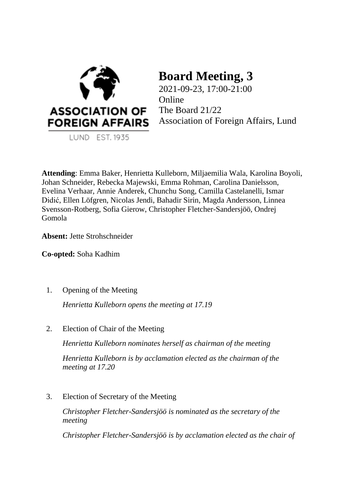

LUND EST. 1935

# **Board Meeting, 3**

2021-09-23, 17:00-21:00 Online The Board 21/22 Association of Foreign Affairs, Lund

**Attending**: Emma Baker, Henrietta Kulleborn, Miljaemilia Wala, Karolina Boyoli, Johan Schneider, Rebecka Majewski, Emma Rohman, Carolina Danielsson, Evelina Verhaar, Annie Anderek, Chunchu Song, Camilla Castelanelli, Ismar Didić, Ellen Löfgren, Nicolas Jendi, Bahadir Sirin, Magda Andersson, Linnea Svensson-Rotberg, Sofia Gierow, Christopher Fletcher-Sandersjöö, Ondrej Gomola

**Absent:** Jette Strohschneider

**Co-opted:** Soha Kadhim

1. Opening of the Meeting

*Henrietta Kulleborn opens the meeting at 17.19*

2. Election of Chair of the Meeting

*Henrietta Kulleborn nominates herself as chairman of the meeting*

*Henrietta Kulleborn is by acclamation elected as the chairman of the meeting at 17.20*

3. Election of Secretary of the Meeting

*Christopher Fletcher-Sandersjöö is nominated as the secretary of the meeting*

*Christopher Fletcher-Sandersjöö is by acclamation elected as the chair of*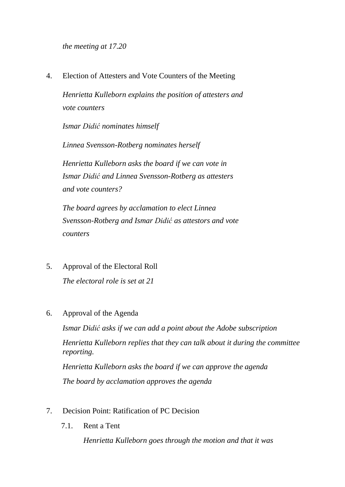*the meeting at 17.20*

4. Election of Attesters and Vote Counters of the Meeting

*Henrietta Kulleborn explains the position of attesters and vote counters* 

*Ismar Didić nominates himself* 

*Linnea Svensson-Rotberg nominates herself* 

*Henrietta Kulleborn asks the board if we can vote in Ismar Didić and Linnea Svensson-Rotberg as attesters and vote counters?* 

*The board agrees by acclamation to elect Linnea Svensson-Rotberg and Ismar Didić as attestors and vote counters*

- 5. Approval of the Electoral Roll *The electoral role is set at 21*
- 6. Approval of the Agenda

*Ismar Didić asks if we can add a point about the Adobe subscription Henrietta Kulleborn replies that they can talk about it during the committee reporting. Henrietta Kulleborn asks the board if we can approve the agenda The board by acclamation approves the agenda*

- 7. Decision Point: Ratification of PC Decision
	- 7.1. Rent a Tent

*Henrietta Kulleborn goes through the motion and that it was*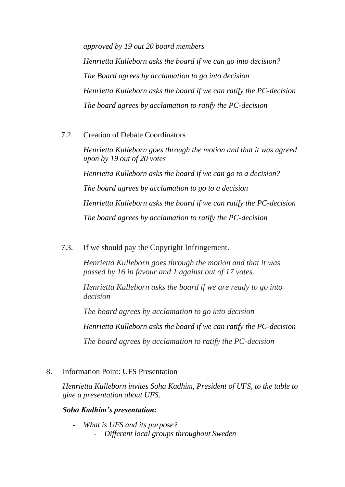*approved by 19 out 20 board members Henrietta Kulleborn asks the board if we can go into decision? The Board agrees by acclamation to go into decision Henrietta Kulleborn asks the board if we can ratify the PC-decision The board agrees by acclamation to ratify the PC-decision* 

7.2. Creation of Debate Coordinators

*Henrietta Kulleborn goes through the motion and that it was agreed upon by 19 out of 20 votes Henrietta Kulleborn asks the board if we can go to a decision? The board agrees by acclamation to go to a decision Henrietta Kulleborn asks the board if we can ratify the PC-decision The board agrees by acclamation to ratify the PC-decision*

7.3. If we should pay the Copyright Infringement.

*Henrietta Kulleborn goes through the motion and that it was passed by 16 in favour and 1 against out of 17 votes.* 

*Henrietta Kulleborn asks the board if we are ready to go into decision*

*The board agrees by acclamation to go into decision* 

*Henrietta Kulleborn asks the board if we can ratify the PC-decision* 

*The board agrees by acclamation to ratify the PC-decision*

# 8. Information Point: UFS Presentation

*Henrietta Kulleborn invites Soha Kadhim, President of UFS, to the table to give a presentation about UFS.* 

# *Soha Kadhim's presentation:*

- *What is UFS and its purpose?*  - *Different local groups throughout Sweden*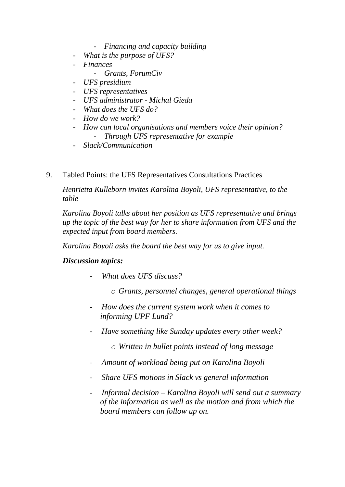- *Financing and capacity building*
- What is the purpose of UFS?
- *Finances*
	- *Grants, ForumCiv*
- *UFS presidium*
- *UFS representatives*
- *UFS administrator - Michal Gieda*
- *What does the UFS do?*
- *How do we work?*
- *How can local organisations and members voice their opinion?* 
	- *Through UFS representative for example*
- *Slack/Communication*
- 9. Tabled Points: the UFS Representatives Consultations Practices

*Henrietta Kulleborn invites Karolina Boyoli, UFS representative, to the table* 

*Karolina Boyoli talks about her position as UFS representative and brings up the topic of the best way for her to share information from UFS and the expected input from board members.*

*Karolina Boyoli asks the board the best way for us to give input.*

# *Discussion topics:*

- *- What does UFS discuss?*
	- *o Grants, personnel changes, general operational things*
- *- How does the current system work when it comes to informing UPF Lund?*
- *- Have something like Sunday updates every other week?*
	- *o Written in bullet points instead of long message*
- *- Amount of workload being put on Karolina Boyoli*
- *- Share UFS motions in Slack vs general information*
- *- Informal decision – Karolina Boyoli will send out a summary of the information as well as the motion and from which the board members can follow up on.*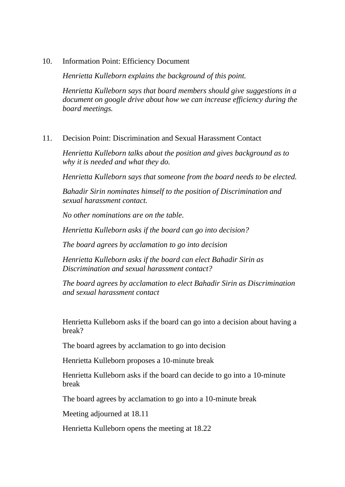10. Information Point: Efficiency Document

*Henrietta Kulleborn explains the background of this point.* 

*Henrietta Kulleborn says that board members should give suggestions in a document on google drive about how we can increase efficiency during the board meetings.* 

#### 11. Decision Point: Discrimination and Sexual Harassment Contact

*Henrietta Kulleborn talks about the position and gives background as to why it is needed and what they do.* 

*Henrietta Kulleborn says that someone from the board needs to be elected.* 

*Bahadir Sirin nominates himself to the position of Discrimination and sexual harassment contact.* 

*No other nominations are on the table.*

*Henrietta Kulleborn asks if the board can go into decision?*

*The board agrees by acclamation to go into decision* 

*Henrietta Kulleborn asks if the board can elect Bahadir Sirin as Discrimination and sexual harassment contact?* 

*The board agrees by acclamation to elect Bahadir Sirin as Discrimination and sexual harassment contact*

Henrietta Kulleborn asks if the board can go into a decision about having a break?

The board agrees by acclamation to go into decision

Henrietta Kulleborn proposes a 10-minute break

Henrietta Kulleborn asks if the board can decide to go into a 10-minute break

The board agrees by acclamation to go into a 10-minute break

Meeting adjourned at 18.11

Henrietta Kulleborn opens the meeting at 18.22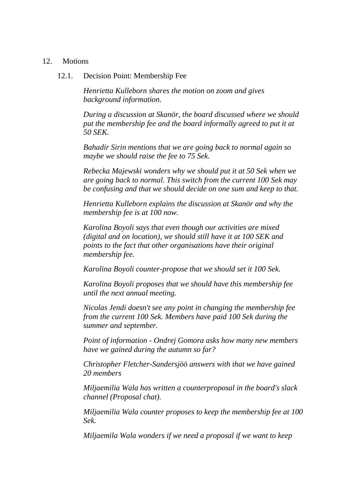#### 12. Motions

12.1. Decision Point: Membership Fee

*Henrietta Kulleborn shares the motion on zoom and gives background information.*

*During a discussion at Skanör, the board discussed where we should put the membership fee and the board informally agreed to put it at 50 SEK.* 

*Bahadir Sirin mentions that we are going back to normal again so maybe we should raise the fee to 75 Sek.* 

*Rebecka Majewski wonders why we should put it at 50 Sek when we are going back to normal. This switch from the current 100 Sek may be confusing and that we should decide on one sum and keep to that.* 

*Henrietta Kulleborn explains the discussion at Skanör and why the membership fee is at 100 now.* 

*Karolina Boyoli says that even though our activities are mixed (digital and on location), we should still have it at 100 SEK and points to the fact that other organisations have their original membership fee.*

*Karolina Boyoli counter-propose that we should set it 100 Sek.* 

*Karolina Boyoli proposes that we should have this membership fee until the next annual meeting.* 

*Nicolas Jendi doesn't see any point in changing the membership fee from the current 100 Sek. Members have paid 100 Sek during the summer and september.* 

*Point of information - Ondrej Gomora asks how many new members have we gained during the autumn so far?* 

*Christopher Fletcher-Sandersjöö answers with that we have gained 20 members* 

*Miljaemilia Wala has written a counterproposal in the board's slack channel (Proposal chat).* 

*Miljaemilia Wala counter proposes to keep the membership fee at 100 Sek.* 

*Miljaemila Wala wonders if we need a proposal if we want to keep*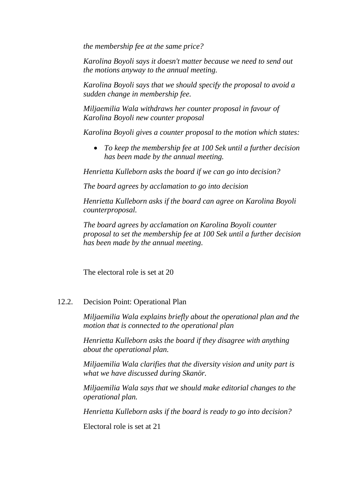*the membership fee at the same price?* 

*Karolina Boyoli says it doesn't matter because we need to send out the motions anyway to the annual meeting.*

*Karolina Boyoli says that we should specify the proposal to avoid a sudden change in membership fee.* 

*Miljaemilia Wala withdraws her counter proposal in favour of Karolina Boyoli new counter proposal*

*Karolina Boyoli gives a counter proposal to the motion which states:* 

• *To keep the membership fee at 100 Sek until a further decision has been made by the annual meeting.* 

*Henrietta Kulleborn asks the board if we can go into decision?* 

*The board agrees by acclamation to go into decision*

*Henrietta Kulleborn asks if the board can agree on Karolina Boyoli counterproposal.* 

*The board agrees by acclamation on Karolina Boyoli counter proposal to set the membership fee at 100 Sek until a further decision has been made by the annual meeting.* 

The electoral role is set at 20

# 12.2. Decision Point: Operational Plan

*Miljaemilia Wala explains briefly about the operational plan and the motion that is connected to the operational plan* 

*Henrietta Kulleborn asks the board if they disagree with anything about the operational plan.* 

*Miljaemilia Wala clarifies that the diversity vision and unity part is what we have discussed during Skanör.* 

*Miljaemilia Wala says that we should make editorial changes to the operational plan.* 

*Henrietta Kulleborn asks if the board is ready to go into decision?*

Electoral role is set at 21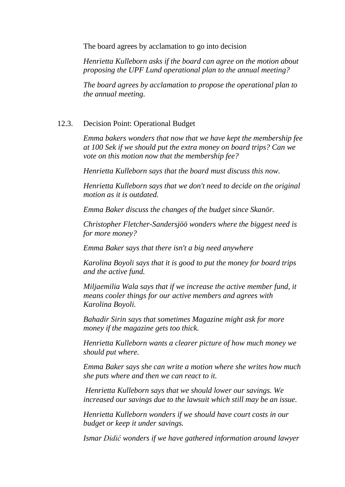The board agrees by acclamation to go into decision

*Henrietta Kulleborn asks if the board can agree on the motion about proposing the UPF Lund operational plan to the annual meeting?* 

*The board agrees by acclamation to propose the operational plan to the annual meeting.* 

# 12.3. Decision Point: Operational Budget

*Emma bakers wonders that now that we have kept the membership fee at 100 Sek if we should put the extra money on board trips? Can we vote on this motion now that the membership fee?* 

*Henrietta Kulleborn says that the board must discuss this now.* 

*Henrietta Kulleborn says that we don't need to decide on the original motion as it is outdated.* 

*Emma Baker discuss the changes of the budget since Skanör.* 

*Christopher Fletcher-Sandersjöö wonders where the biggest need is for more money?* 

*Emma Baker says that there isn't a big need anywhere*

*Karolina Boyoli says that it is good to put the money for board trips and the active fund.* 

*Miljaemilia Wala says that if we increase the active member fund, it means cooler things for our active members and agrees with Karolina Boyoli.*

*Bahadir Sirin says that sometimes Magazine might ask for more money if the magazine gets too thick.* 

*Henrietta Kulleborn wants a clearer picture of how much money we should put where.* 

*Emma Baker says she can write a motion where she writes how much she puts where and then we can react to it.* 

*Henrietta Kulleborn says that we should lower our savings. We increased our savings due to the lawsuit which still may be an issue.* 

*Henrietta Kulleborn wonders if we should have court costs in our budget or keep it under savings.* 

*Ismar Didić wonders if we have gathered information around lawyer*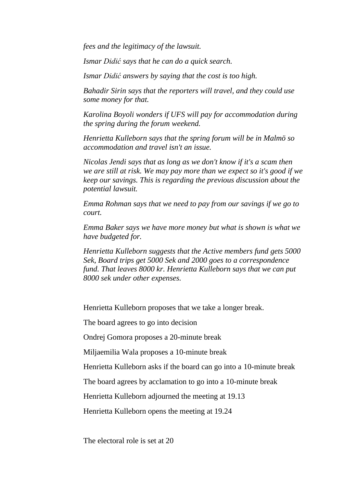*fees and the legitimacy of the lawsuit.* 

*Ismar Didić says that he can do a quick search.* 

*Ismar Didić answers by saying that the cost is too high.* 

*Bahadir Sirin says that the reporters will travel, and they could use some money for that.* 

*Karolina Boyoli wonders if UFS will pay for accommodation during the spring during the forum weekend.*

*Henrietta Kulleborn says that the spring forum will be in Malmö so accommodation and travel isn't an issue.* 

*Nicolas Jendi says that as long as we don't know if it's a scam then we are still at risk. We may pay more than we expect so it's good if we keep our savings. This is regarding the previous discussion about the potential lawsuit.* 

*Emma Rohman says that we need to pay from our savings if we go to court.* 

*Emma Baker says we have more money but what is shown is what we have budgeted for.* 

*Henrietta Kulleborn suggests that the Active members fund gets 5000 Sek, Board trips get 5000 Sek and 2000 goes to a correspondence fund. That leaves 8000 kr. Henrietta Kulleborn says that we can put 8000 sek under other expenses.* 

Henrietta Kulleborn proposes that we take a longer break.

The board agrees to go into decision

Ondrej Gomora proposes a 20-minute break

Miljaemilia Wala proposes a 10-minute break

Henrietta Kulleborn asks if the board can go into a 10-minute break

The board agrees by acclamation to go into a 10-minute break

Henrietta Kulleborn adjourned the meeting at 19.13

Henrietta Kulleborn opens the meeting at 19.24

The electoral role is set at 20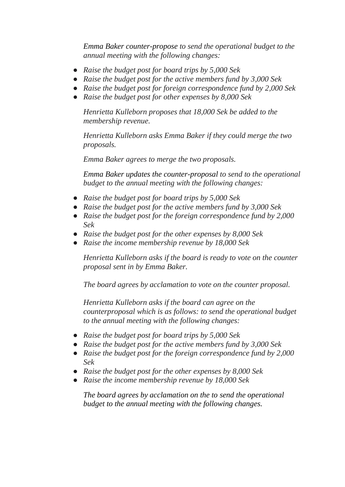*Emma Baker counter-propose to send the operational budget to the annual meeting with the following changes:*

- *Raise the budget post for board trips by 5,000 Sek*
- *Raise the budget post for the active members fund by 3,000 Sek*
- *Raise the budget post for foreign correspondence fund by 2,000 Sek*
- *Raise the budget post for other expenses by 8,000 Sek*

*Henrietta Kulleborn proposes that 18,000 Sek be added to the membership revenue.* 

*Henrietta Kulleborn asks Emma Baker if they could merge the two proposals.* 

*Emma Baker agrees to merge the two proposals.* 

*Emma Baker updates the counter-proposal to send to the operational budget to the annual meeting with the following changes:*

- *Raise the budget post for board trips by 5,000 Sek*
- *Raise the budget post for the active members fund by 3,000 Sek*
- *Raise the budget post for the foreign correspondence fund by 2,000 Sek*
- *Raise the budget post for the other expenses by 8,000 Sek*
- *Raise the income membership revenue by 18,000 Sek*

*Henrietta Kulleborn asks if the board is ready to vote on the counter proposal sent in by Emma Baker.* 

*The board agrees by acclamation to vote on the counter proposal.* 

*Henrietta Kulleborn asks if the board can agree on the counterproposal which is as follows: to send the operational budget to the annual meeting with the following changes:*

- *Raise the budget post for board trips by 5,000 Sek*
- *Raise the budget post for the active members fund by 3,000 Sek*
- *Raise the budget post for the foreign correspondence fund by 2,000 Sek*
- *Raise the budget post for the other expenses by 8,000 Sek*
- *Raise the income membership revenue by 18,000 Sek*

*The board agrees by acclamation on the to send the operational budget to the annual meeting with the following changes.*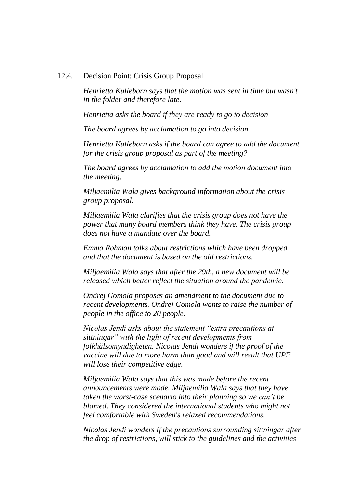#### 12.4. Decision Point: Crisis Group Proposal

*Henrietta Kulleborn says that the motion was sent in time but wasn't in the folder and therefore late.* 

*Henrietta asks the board if they are ready to go to decision* 

*The board agrees by acclamation to go into decision*

*Henrietta Kulleborn asks if the board can agree to add the document for the crisis group proposal as part of the meeting?* 

*The board agrees by acclamation to add the motion document into the meeting.* 

*Miljaemilia Wala gives background information about the crisis group proposal.* 

*Miljaemilia Wala clarifies that the crisis group does not have the power that many board members think they have. The crisis group does not have a mandate over the board.*

*Emma Rohman talks about restrictions which have been dropped and that the document is based on the old restrictions.*

*Miljaemilia Wala says that after the 29th, a new document will be released which better reflect the situation around the pandemic.* 

*Ondrej Gomola proposes an amendment to the document due to recent developments. Ondrej Gomola wants to raise the number of people in the office to 20 people.* 

*Nicolas Jendi asks about the statement "extra precautions at sittningar" with the light of recent developments from folkhälsomyndigheten. Nicolas Jendi wonders if the proof of the vaccine will due to more harm than good and will result that UPF will lose their competitive edge.* 

*Miljaemilia Wala says that this was made before the recent announcements were made. Miljaemilia Wala says that they have taken the worst-case scenario into their planning so we can't be blamed. They considered the international students who might not feel comfortable with Sweden's relaxed recommendations.*

*Nicolas Jendi wonders if the precautions surrounding sittningar after the drop of restrictions, will stick to the guidelines and the activities*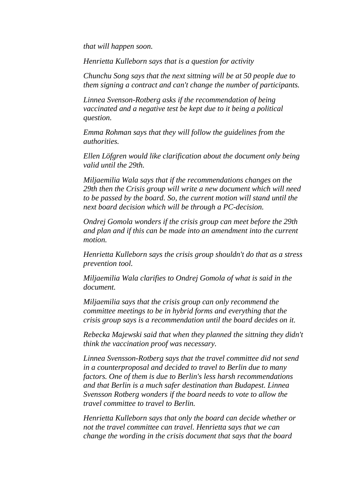*that will happen soon.* 

*Henrietta Kulleborn says that is a question for activity* 

*Chunchu Song says that the next sittning will be at 50 people due to them signing a contract and can't change the number of participants.* 

*Linnea Svenson-Rotberg asks if the recommendation of being vaccinated and a negative test be kept due to it being a political question.* 

*Emma Rohman says that they will follow the guidelines from the authorities.* 

*Ellen Löfgren would like clarification about the document only being valid until the 29th.* 

*Miljaemilia Wala says that if the recommendations changes on the 29th then the Crisis group will write a new document which will need to be passed by the board. So, the current motion will stand until the next board decision which will be through a PC-decision.* 

*Ondrej Gomola wonders if the crisis group can meet before the 29th and plan and if this can be made into an amendment into the current motion.* 

*Henrietta Kulleborn says the crisis group shouldn't do that as a stress prevention tool.* 

*Miljaemilia Wala clarifies to Ondrej Gomola of what is said in the document.* 

*Miljaemilia says that the crisis group can only recommend the committee meetings to be in hybrid forms and everything that the crisis group says is a recommendation until the board decides on it.*

*Rebecka Majewski said that when they planned the sittning they didn't think the vaccination proof was necessary.* 

*Linnea Svensson-Rotberg says that the travel committee did not send in a counterproposal and decided to travel to Berlin due to many factors. One of them is due to Berlin's less harsh recommendations and that Berlin is a much safer destination than Budapest. Linnea Svensson Rotberg wonders if the board needs to vote to allow the travel committee to travel to Berlin.* 

*Henrietta Kulleborn says that only the board can decide whether or not the travel committee can travel. Henrietta says that we can change the wording in the crisis document that says that the board*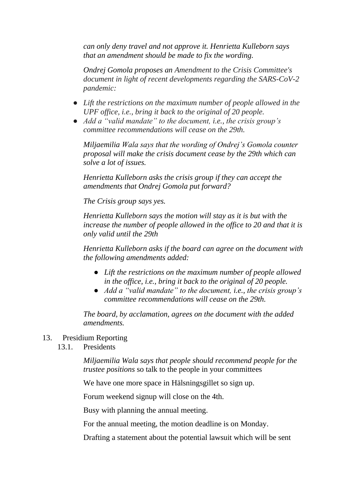*can only deny travel and not approve it. Henrietta Kulleborn says that an amendment should be made to fix the wording.* 

*Ondrej Gomola proposes an Amendment to the Crisis Committee's document in light of recent developments regarding the SARS-CoV-2 pandemic:*

- *Lift the restrictions on the maximum number of people allowed in the UPF office, i.e., bring it back to the original of 20 people.*
- *Add a "valid mandate" to the document, i.e., the crisis group's committee recommendations will cease on the 29th.*

*Miljaemilia Wala says that the wording of Ondrej's Gomola counter proposal will make the crisis document cease by the 29th which can solve a lot of issues.* 

*Henrietta Kulleborn asks the crisis group if they can accept the amendments that Ondrej Gomola put forward?*

*The Crisis group says yes.*

*Henrietta Kulleborn says the motion will stay as it is but with the increase the number of people allowed in the office to 20 and that it is only valid until the 29th* 

*Henrietta Kulleborn asks if the board can agree on the document with the following amendments added:* 

- *Lift the restrictions on the maximum number of people allowed in the office, i.e., bring it back to the original of 20 people.*
- *Add a "valid mandate" to the document, i.e., the crisis group's committee recommendations will cease on the 29th.*

*The board, by acclamation, agrees on the document with the added amendments.* 

# 13. Presidium Reporting

13.1. Presidents

*Miljaemilia Wala says that people should recommend people for the trustee positions* so talk to the people in your committees

We have one more space in Hälsningsgillet so sign up.

Forum weekend signup will close on the 4th.

Busy with planning the annual meeting.

For the annual meeting, the motion deadline is on Monday.

Drafting a statement about the potential lawsuit which will be sent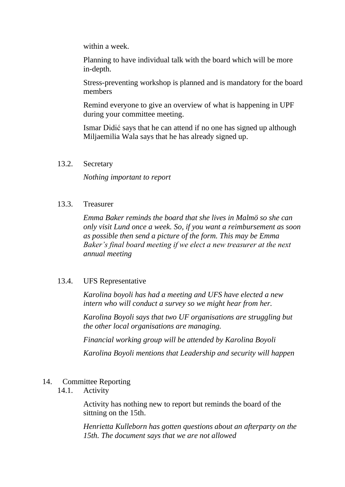within a week.

Planning to have individual talk with the board which will be more in-depth.

Stress-preventing workshop is planned and is mandatory for the board members

Remind everyone to give an overview of what is happening in UPF during your committee meeting.

Ismar Didić says that he can attend if no one has signed up although Miljaemilia Wala says that he has already signed up.

#### 13.2. Secretary

*Nothing important to report* 

#### 13.3. Treasurer

*Emma Baker reminds the board that she lives in Malmö so she can only visit Lund once a week. So, if you want a reimbursement as soon as possible then send a picture of the form. This may be Emma Baker's final board meeting if we elect a new treasurer at the next annual meeting*

# 13.4. UFS Representative

*Karolina boyoli has had a meeting and UFS have elected a new intern who will conduct a survey so we might hear from her.* 

*Karolina Boyoli says that two UF organisations are struggling but the other local organisations are managing.* 

*Financial working group will be attended by Karolina Boyoli* 

*Karolina Boyoli mentions that Leadership and security will happen*

# 14. Committee Reporting

14.1. Activity

Activity has nothing new to report but reminds the board of the sittning on the 15th.

*Henrietta Kulleborn has gotten questions about an afterparty on the 15th. The document says that we are not allowed*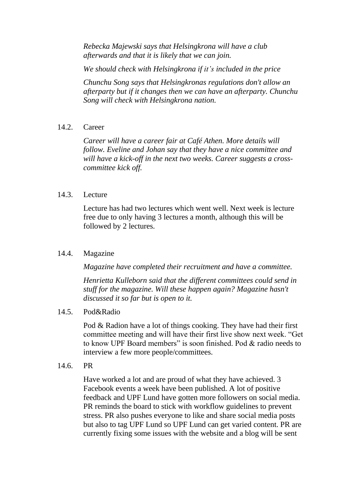*Rebecka Majewski says that Helsingkrona will have a club afterwards and that it is likely that we can join.* 

*We should check with Helsingkrona if it's included in the price*

*Chunchu Song says that Helsingkronas regulations don't allow an afterparty but if it changes then we can have an afterparty. Chunchu Song will check with Helsingkrona nation.* 

# 14.2. Career

*Career will have a career fair at Café Athen. More details will follow. Eveline and Johan say that they have a nice committee and will have a kick-off in the next two weeks. Career suggests a crosscommittee kick off.* 

#### 14.3. Lecture

Lecture has had two lectures which went well. Next week is lecture free due to only having 3 lectures a month, although this will be followed by 2 lectures.

# 14.4. Magazine

*Magazine have completed their recruitment and have a committee.* 

*Henrietta Kulleborn said that the different committees could send in stuff for the magazine. Will these happen again? Magazine hasn't discussed it so far but is open to it.* 

#### 14.5. Pod&Radio

Pod & Radion have a lot of things cooking. They have had their first committee meeting and will have their first live show next week. "Get to know UPF Board members" is soon finished. Pod & radio needs to interview a few more people/committees.

#### 14.6. PR

Have worked a lot and are proud of what they have achieved. 3 Facebook events a week have been published. A lot of positive feedback and UPF Lund have gotten more followers on social media. PR reminds the board to stick with workflow guidelines to prevent stress. PR also pushes everyone to like and share social media posts but also to tag UPF Lund so UPF Lund can get varied content. PR are currently fixing some issues with the website and a blog will be sent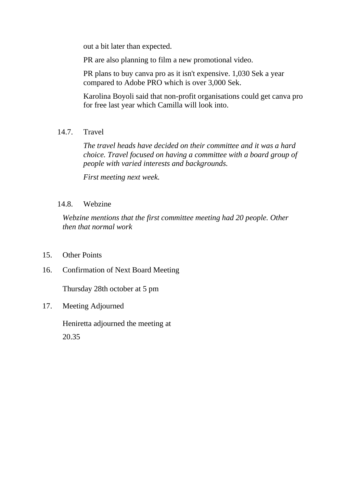out a bit later than expected.

PR are also planning to film a new promotional video.

PR plans to buy canva pro as it isn't expensive. 1,030 Sek a year compared to Adobe PRO which is over 3,000 Sek.

Karolina Boyoli said that non-profit organisations could get canva pro for free last year which Camilla will look into.

14.7. Travel

*The travel heads have decided on their committee and it was a hard choice. Travel focused on having a committee with a board group of people with varied interests and backgrounds.* 

*First meeting next week.* 

#### 14.8. Webzine

*Webzine mentions that the first committee meeting had 20 people. Other then that normal work*

- 15. Other Points
- 16. Confirmation of Next Board Meeting

Thursday 28th october at 5 pm

17. Meeting Adjourned

Heniretta adjourned the meeting at 20.35